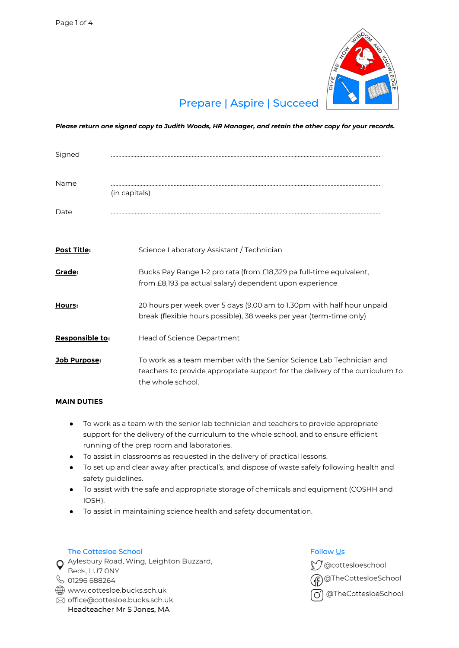

# **Prepare | Aspire | Succeed**

*Please return one signed copy to Judith Woods, HR Manager, and retain the other copy for your records.*

| Signed             |                                                                                                                                                                           |
|--------------------|---------------------------------------------------------------------------------------------------------------------------------------------------------------------------|
| Name               | (in capitals)                                                                                                                                                             |
| Date               |                                                                                                                                                                           |
| <b>Post Title:</b> | Science Laboratory Assistant / Technician                                                                                                                                 |
| <b>Grade:</b>      | Bucks Pay Range 1-2 pro rata (from £18,329 pa full-time equivalent,<br>from £8,193 pa actual salary) dependent upon experience                                            |
| Hours:             | 20 hours per week over 5 days (9.00 am to 1.30pm with half hour unpaid<br>break (flexible hours possible), 38 weeks per year (term-time only)                             |
| Responsible to:    | Head of Science Department                                                                                                                                                |
| Job Purpose:       | To work as a team member with the Senior Science Lab Technician and<br>teachers to provide appropriate support for the delivery of the curriculum to<br>the whole school. |

### **MAIN DUTIES**

- To work as a team with the senior lab technician and teachers to provide appropriate support for the delivery of the curriculum to the whole school, and to ensure efficient running of the prep room and laboratories.
- To assist in classrooms as requested in the delivery of practical lessons.
- To set up and clear away after practical's, and dispose of waste safely following health and safety guidelines.
- To assist with the safe and appropriate storage of chemicals and equipment (COSHH and IOSH).
- To assist in maintaining science health and safety documentation.

### The Cottesloe School

O Aylesbury Road, Wing, Leighton Buzzard, Beds, LU7 ONY

# └ 01296 688264

www.cottesloe.bucks.sch.uk

⊠ office@cottesloe.bucks.sch.uk Headteacher Mr S Jones, MA

## **Follow Us**

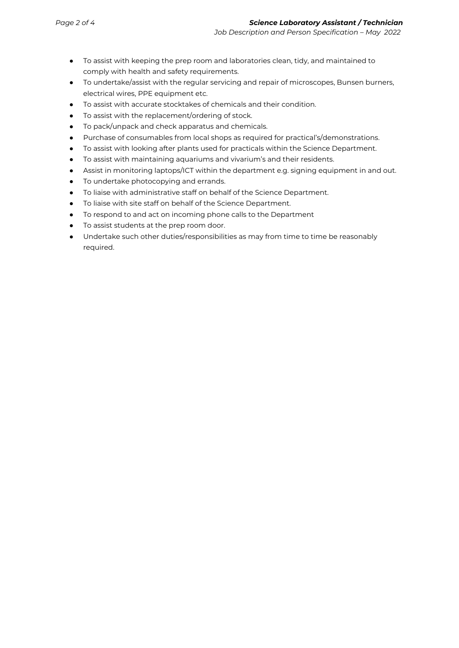- To assist with keeping the prep room and laboratories clean, tidy, and maintained to comply with health and safety requirements.
- To undertake/assist with the regular servicing and repair of microscopes, Bunsen burners, electrical wires, PPE equipment etc.
- To assist with accurate stocktakes of chemicals and their condition.
- To assist with the replacement/ordering of stock.
- To pack/unpack and check apparatus and chemicals.
- Purchase of consumables from local shops as required for practical's/demonstrations.
- To assist with looking after plants used for practicals within the Science Department.
- To assist with maintaining aquariums and vivarium's and their residents.
- Assist in monitoring laptops/ICT within the department e.g. signing equipment in and out.
- To undertake photocopying and errands.
- To liaise with administrative staff on behalf of the Science Department.
- To liaise with site staff on behalf of the Science Department.
- To respond to and act on incoming phone calls to the Department
- To assist students at the prep room door.
- Undertake such other duties/responsibilities as may from time to time be reasonably required.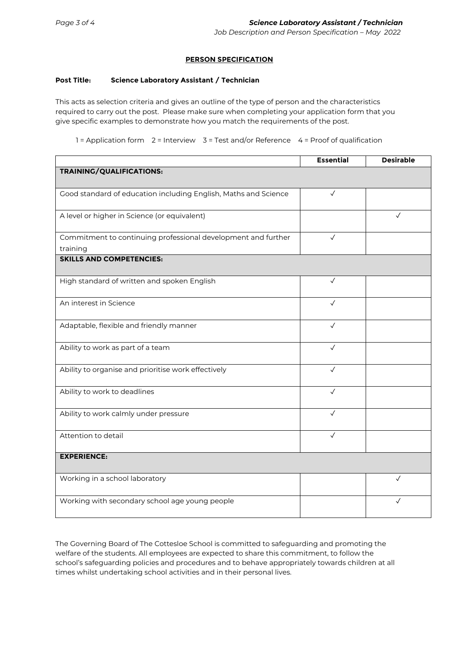### **PERSON SPECIFICATION**

#### **Post Title: Science Laboratory Assistant / Technician**

This acts as selection criteria and gives an outline of the type of person and the characteristics required to carry out the post. Please make sure when completing your application form that you give specific examples to demonstrate how you match the requirements of the post.

1 = Application form 2 = Interview 3 = Test and/or Reference 4 = Proof of qualification

|                                                                           | <b>Essential</b> | <b>Desirable</b> |  |
|---------------------------------------------------------------------------|------------------|------------------|--|
| TRAINING/QUALIFICATIONS:                                                  |                  |                  |  |
| Good standard of education including English, Maths and Science           | $\checkmark$     |                  |  |
| A level or higher in Science (or equivalent)                              |                  | $\checkmark$     |  |
| Commitment to continuing professional development and further<br>training | $\checkmark$     |                  |  |
| <b>SKILLS AND COMPETENCIES:</b>                                           |                  |                  |  |
| High standard of written and spoken English                               | $\checkmark$     |                  |  |
| An interest in Science                                                    | $\checkmark$     |                  |  |
| Adaptable, flexible and friendly manner                                   | $\sqrt{}$        |                  |  |
| Ability to work as part of a team                                         | $\checkmark$     |                  |  |
| Ability to organise and prioritise work effectively                       | $\checkmark$     |                  |  |
| Ability to work to deadlines                                              | $\checkmark$     |                  |  |
| Ability to work calmly under pressure                                     | $\checkmark$     |                  |  |
| Attention to detail                                                       | $\checkmark$     |                  |  |
| <b>EXPERIENCE:</b>                                                        |                  |                  |  |
| Working in a school laboratory                                            |                  | $\checkmark$     |  |
| Working with secondary school age young people                            |                  |                  |  |

The Governing Board of The Cottesloe School is committed to safeguarding and promoting the welfare of the students. All employees are expected to share this commitment, to follow the school's safeguarding policies and procedures and to behave appropriately towards children at all times whilst undertaking school activities and in their personal lives.